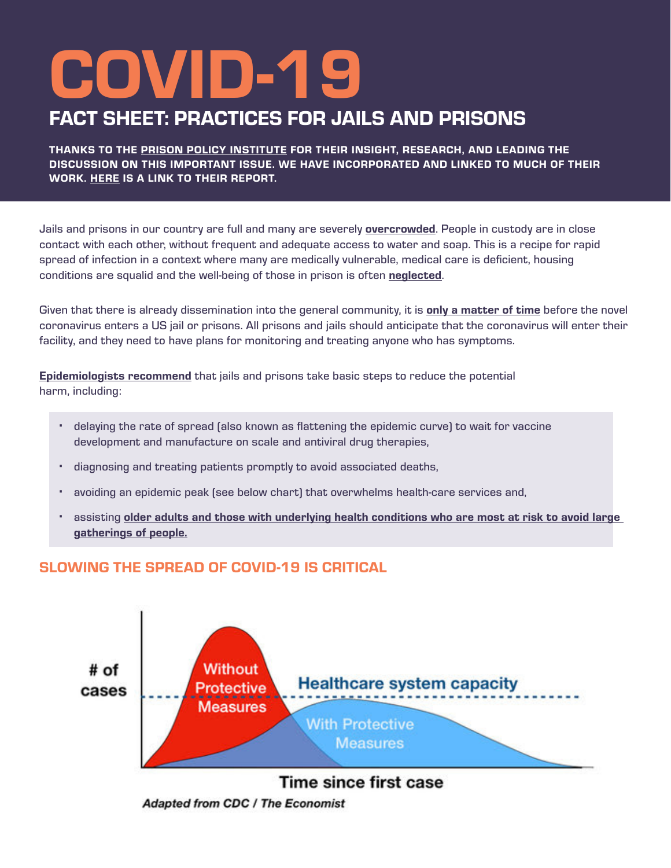# COVID-19

# FACT SHEET: PRACTICES FOR JAILS AND PRISONS

THANKS TO THE [PRISON POLICY INSTITUTE](https://www.prisonpolicy.org/) FOR THEIR INSIGHT, RESEARCH, AND LEADING THE DISCUSSION ON THIS IMPORTANT ISSUE. WE HAVE INCORPORATED AND LINKED TO MUCH OF THEIR WORK. [HERE](https://www.prisonpolicy.org/blog/2020/03/06/pandemic/) IS A LINK TO THEIR REPORT.

Jails and prisons in our country are full and many are severely **[overcrowded](https://www.forbes.com/sites/niallmccarthy/2018/01/26/the-worlds-most-overcrowded-prison-systems-infographic/#209a044e1372)**. People in custody are in close contact with each other, without frequent and adequate access to water and soap. This is a recipe for rapid spread of infection in a context where many are medically vulnerable, medical care is deficient, housing conditions are squalid and the well-being of those in prison is often [neglected](https://journalofethics.ama-assn.org/article/compassionate-release-policy-reform-physicians-advocates-human-dignity/2017-09).

Given that there is already dissemination into the general community, it is **[only a matter of time](https://www.theverge.com/2020/3/7/21167807/coronavirus-prison-jail-health-outbreak-covid-19-flu-soap)** before the novel coronavirus enters a US jail or prisons. All prisons and jails should anticipate that the coronavirus will enter their facility, and they need to have plans for monitoring and treating anyone who has symptoms.

[Epidemiologists recommend](https://www.thelancet.com/journals/lancet/article/PIIS0140-6736(20)30567-5/fulltext?utm_campaign=tlcoronavirus20&utm_content=120403755&utm_medium=social&utm_source=twitter&hss_channel=tw-27013292) that jails and prisons take basic steps to reduce the potential harm, including:

- **·** delaying the rate of spread (also known as flattening the epidemic curve) to wait for vaccine development and manufacture on scale and antiviral drug therapies,
- **·** diagnosing and treating patients promptly to avoid associated deaths,
- **·** avoiding an epidemic peak (see below chart) that overwhelms health-care services and,
- **·** assisting [older adults and those with underlying health conditions who are most at risk to avoid large](https://www.nytimes.com/2020/03/08/health/fauci-coronavirus.html?te=1&nl=morning-briefing&emc=edit_NN_p_20200309§ion=topNews&campaign_id=9&instance_id=16597&segment_id=22011&user_id=08b590091dd73af812782e50336b568b®i_id=105520408tion=topNews)  [gatherings of people.](https://www.nytimes.com/2020/03/08/health/fauci-coronavirus.html?te=1&nl=morning-briefing&emc=edit_NN_p_20200309§ion=topNews&campaign_id=9&instance_id=16597&segment_id=22011&user_id=08b590091dd73af812782e50336b568b®i_id=105520408tion=topNews)

# SLOWING THE SPREAD OF COVID-19 IS CRITICAL



**Adapted from CDC / The Economist**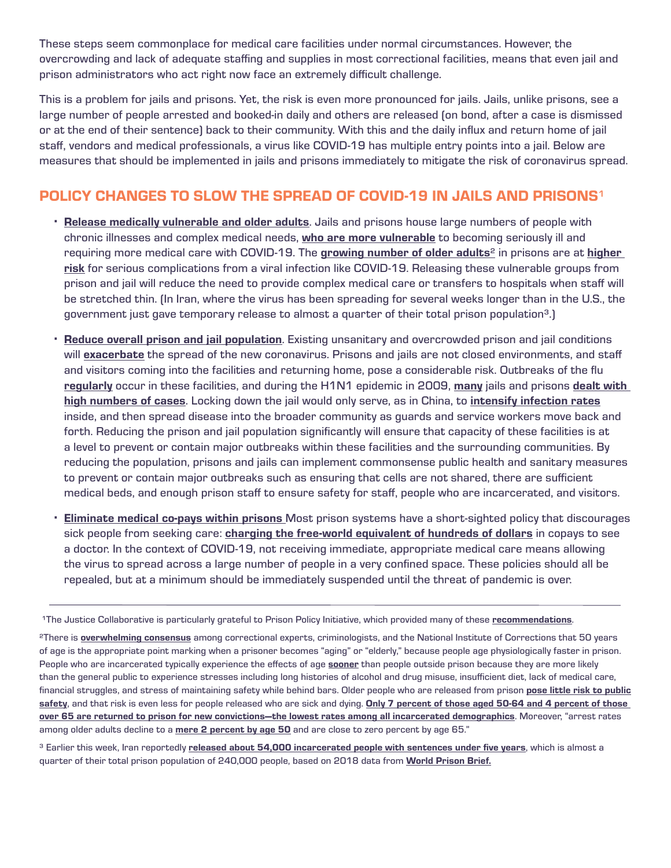These steps seem commonplace for medical care facilities under normal circumstances. However, the overcrowding and lack of adequate staffing and supplies in most correctional facilities, means that even jail and prison administrators who act right now face an extremely difficult challenge.

This is a problem for jails and prisons. Yet, the risk is even more pronounced for jails. Jails, unlike prisons, see a large number of people arrested and booked-in daily and others are released (on bond, after a case is dismissed or at the end of their sentence) back to their community. With this and the daily influx and return home of jail staff, vendors and medical professionals, a virus like COVID-19 has multiple entry points into a jail. Below are measures that should be implemented in jails and prisons immediately to mitigate the risk of coronavirus spread.

# POLICY CHANGES TO SLOW THE SPREAD OF COVID-19 IN JAILS AND PRISONS<sup>1</sup>

- **·** [Release medically vulnerable and older adults](https://www.prisonpolicy.org/blog/2020/03/06/pandemic/). Jails and prisons house large numbers of people with chronic illnesses and complex medical needs, [who are more vulnerable](https://www.who.int/emergencies/diseases/novel-coronavirus-2019/advice-for-public/myth-busters) to becoming seriously ill and requiring more medical care with COVID-19. The [growing number of older adults](https://www.prisonpolicy.org/blog/2016/05/19/bjsaging/)<sup>2</sup> in prisons are at higher [risk](https://www.ncoa.org/news/press-releases/ncoa-statement-congress-must-protect-older-adults-from-covid-19/) for serious complications from a viral infection like COVID-19. Releasing these vulnerable groups from prison and jail will reduce the need to provide complex medical care or transfers to hospitals when staff will be stretched thin. (In Iran, where the virus has been spreading for several weeks longer than in the U.S., the government just gave temporary release to almost a quarter of their total prison population<sup>3</sup>.)
- **·** [Reduce overall prison and jail population](https://www.newsweek.com/coronavirus-sentencing-project-jails-democrats-1491771). Existing unsanitary and overcrowded prison and jail conditions will **[exacerbate](https://www.newsweek.com/coronavirus-sentencing-project-jails-democrats-1491771)** the spread of the new coronavirus. Prisons and jails are not closed environments, and staff and visitors coming into the facilities and returning home, pose a considerable risk. Outbreaks of the flu [regularly](https://www.omaha.com/news/state_and_regional/flu-outbreak-at-nebraska-state-penitentiary-prompts-cancellation-of-christmas/article_0c6ab320-1d5e-5561-9f49-605897b880fa.html) occur in these facilities, and during the H1N1 epidemic in 2009, [many](https://www.spokesman.com/stories/2009/jul/25/idaho-prison-reports-outbreak-of-swine-flu/) jails and prisons dealt with [high numbers of cases](https://www.prisonlegalnews.org/news/2010/feb/15/swine-flu-widespread-in-prisons-and-jails-but-deaths-are-few/). Locking down the jail would only serve, as in China, to [intensify infection rates](http://www.justtalk.blog/index.php/2020/03/08/how-will-county-jail-handle-coronavirus/) inside, and then spread disease into the broader community as guards and service workers move back and forth. Reducing the prison and jail population significantly will ensure that capacity of these facilities is at a level to prevent or contain major outbreaks within these facilities and the surrounding communities. By reducing the population, prisons and jails can implement commonsense public health and sanitary measures to prevent or contain major outbreaks such as ensuring that cells are not shared, there are sufficient medical beds, and enough prison staff to ensure safety for staff, people who are incarcerated, and visitors.
- **Eliminate medical co-pays within prisons** Most prison systems have a short-sighted policy that discourages sick people from seeking care: [charging the free-world equivalent of hundreds of dollars](https://www.prisonpolicy.org/blog/2017/04/19/copays/) in copays to see a doctor. In the context of COVID-19, not receiving immediate, appropriate medical care means allowing the virus to spread across a large number of people in a very confined space. These policies should all be repealed, but at a minimum should be immediately suspended until the threat of pandemic is over.

<sup>3</sup> Earlier this week, Iran reportedly [released about 54,000 incarcerated people with sentences under five years](https://www.bbc.com/news/world-middle-east-51723398), which is almost a quarter of their total prison population of 240,000 people, based on 2018 data from [World Prison Brief.](https://www.prisonstudies.org/country/iran)

<sup>&</sup>lt;sup>1</sup>The Justice Collaborative is particularly grateful to Prison Policy Initiative, which provided many of these [recommendations](https://www.prisonpolicy.org/blog/2020/03/06/pandemic/).

<sup>&</sup>lt;sup>2</sup>There is **[overwhelming consensus](https://www.aclu.org/sites/default/files/field_document/elderlyprisonreport_20120613_1.pdf)** among correctional experts, criminologists, and the National Institute of Corrections that 50 years of age is the appropriate point marking when a prisoner becomes "aging" or "elderly," because people age physiologically faster in prison. People who are incarcerated typically experience the effects of age **[sooner](https://www.vera.org/publications/its-about-time-aging-prisoners-increasing-costs-and-geriatric-release)** than people outside prison because they are more likely than the general public to experience stresses including long histories of alcohol and drug misuse, insufficient diet, lack of medical care, financial struggles, and stress of maintaining safety while behind bars. Older people who are released from prison pose little risk to public [safety](https://thecrimereport.org/2012/05/29/2012-05-frail-and-elderly-prisoners-do-they-still-belong-beh/), and that risk is even less for people released who are sick and dying. Only 7 percent of those aged 50-64 and 4 percent of those [over 65 are returned to prison for new convictions—the lowest rates among all incarcerated demographics](http://www.osborneny.org/resources/resources-on-aging-in-prison/osborne-aging-in-prison-white-paper/). Moreover, "arrest rates among older adults decline to a [mere 2 percent by age 50](http://www.osborneny.org/resources/resources-on-aging-in-prison/osborne-aging-in-prison-white-paper/) and are close to zero percent by age 65."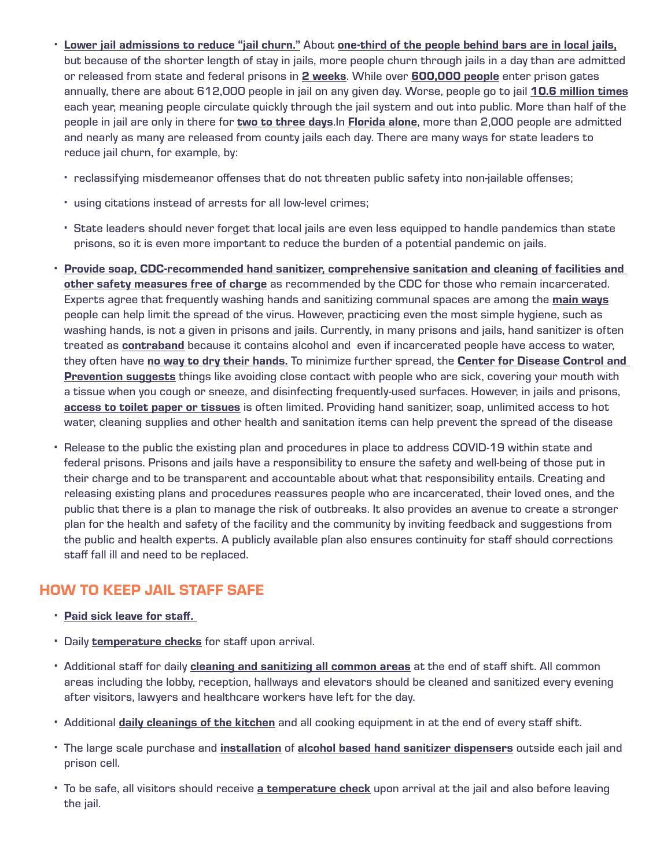- **·** [Lower jail admissions to reduce "jail churn."](https://www.prisonpolicy.org/blog/2020/03/06/pandemic/) About [one-third of the people behind bars are in local jails,](https://www.prisonpolicy.org/blog/2020/03/06/pandemic/) but because of the shorter length of stay in jails, more people churn through jails in a day than are admitted or released from state and federal prisons in [2 weeks](https://www.prisonpolicy.org/blog/2020/03/06/pandemic/). While over [600,000 people](https://www.bjs.gov/content/pub/pdf/p16.pdf) enter prison gates annually, there are about 612,000 people in jail on any given day. Worse, people go to jail [10.6 million times](https://www.prisonpolicy.org/blog/2018/03/22/chalabi/) each year, meaning people circulate quickly through the jail system and out into public. More than half of the people in jail are only in there for [two to three days](https://www.motherjones.com/politics/2020/03/correctional-facilities-are-the-perfect-incubators-for-the-coronavirus/). In [Florida alone](https://www.prisonpolicy.org/blog/2020/03/06/pandemic/), more than 2,000 people are admitted and nearly as many are released from county jails each day. There are many ways for state leaders to reduce jail churn, for example, by:
	- **·** reclassifying misdemeanor offenses that do not threaten public safety into non-jailable offenses;
	- **·** using citations instead of arrests for all low-level crimes;
	- **·** State leaders should never forget that local jails are even less equipped to handle pandemics than state prisons, so it is even more important to reduce the burden of a potential pandemic on jails.
- **·** [Provide soap, CDC-recommended hand sanitizer, comprehensive sanitation and cleaning of facilities and](https://papers.ssrn.com/sol3/papers.cfm?abstract_id=3549276)  [other safety measures free of charge](https://papers.ssrn.com/sol3/papers.cfm?abstract_id=3549276) as recommended by the CDC for those who remain incarcerated. Experts agree that frequently washing hands and sanitizing communal spaces are among the [main ways](https://papers.ssrn.com/sol3/papers.cfm?abstract_id=3549276) people can help limit the spread of the virus. However, practicing even the most simple hygiene, such as washing hands, is not a given in prisons and jails. Currently, in many prisons and jails, hand sanitizer is often treated as **[contraband](https://www.usatoday.com/story/news/investigations/2020/03/07/prison-policies-inmates-best-coronavirus-practices/4978412002/)** because it contains alcohol and even if incarcerated people have access to water, they often have [no way to dry their hands.](https://www.themarshallproject.org/2020/03/06/when-purell-is-contraband-how-do-you-contain-coronavirus) To minimize further spread, the Center for Disease Control and **[Prevention suggests](https://www.cdc.gov/coronavirus/2019-ncov/about/prevention-treatment.html)** things like avoiding close contact with people who are sick, covering your mouth with a tissue when you cough or sneeze, and disinfecting frequently-used surfaces. However, in jails and prisons, [access to toilet paper or tissues](https://www.themarshallproject.org/2020/03/06/when-purell-is-contraband-how-do-you-contain-coronavirus) is often limited. Providing hand sanitizer, soap, unlimited access to hot water, cleaning supplies and other health and sanitation items can help prevent the spread of the disease
- **·** Release to the public the existing plan and procedures in place to address COVID-19 within state and federal prisons. Prisons and jails have a responsibility to ensure the safety and well-being of those put in their charge and to be transparent and accountable about what that responsibility entails. Creating and releasing existing plans and procedures reassures people who are incarcerated, their loved ones, and the public that there is a plan to manage the risk of outbreaks. It also provides an avenue to create a stronger plan for the health and safety of the facility and the community by inviting feedback and suggestions from the public and health experts. A publicly available plan also ensures continuity for staff should corrections staff fall ill and need to be replaced.

#### HOW TO KEEP JAIL STAFF SAFE

- **·** [Paid sick leave for staff.](https://www.cdc.gov/coronavirus/2019-ncov/about/prevention-treatment.html)
- **·** Daily [temperature checks](https://www.who.int/health-topics/coronavirus) for staff upon arrival.
- **·** Additional staff for daily [cleaning and sanitizing all common areas](https://www.cdc.gov/coronavirus/2019-ncov/about/prevention-treatment.html) at the end of staff shift. All common areas including the lobby, reception, hallways and elevators should be cleaned and sanitized every evening after visitors, lawyers and healthcare workers have left for the day.
- **·** Additional [daily cleanings of the kitchen](https://www.cdc.gov/coronavirus/2019-ncov/downloads/workplace-school-and-home-guidance.pdf) and all cooking equipment in at the end of every staff shift.
- **·** The large scale purchase and [installation](https://www.cdc.gov/coronavirus/2019-ncov/healthcare-facilities/prevent-spread-in-long-term-care-facilities.html) of [alcohol based hand sanitizer dispensers](https://www.cdc.gov/coronavirus/2019-ncov/about/prevention-treatment.html) outside each jail and prison cell.
- **·** To be safe, all visitors should receive [a temperature check](https://www.who.int/health-topics/coronavirus) upon arrival at the jail and also before leaving the jail.